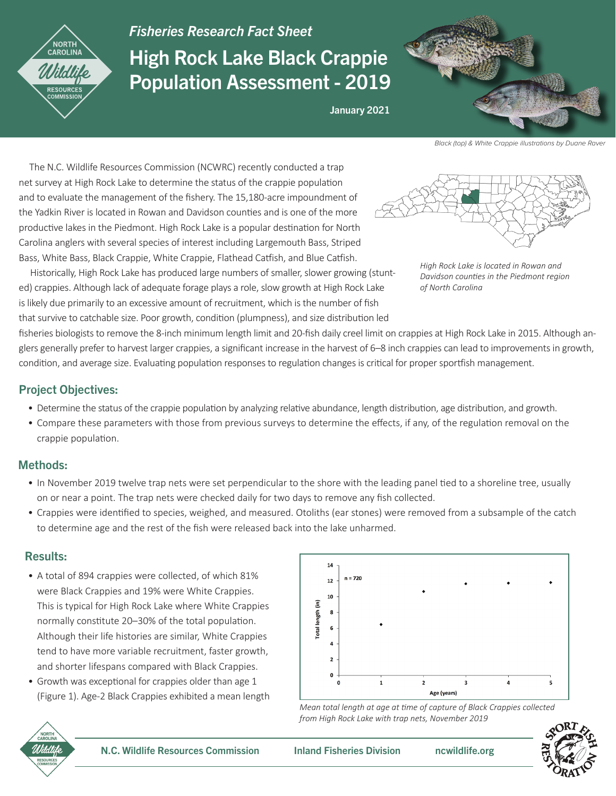

# *Fisheries Research Fact Sheet* High Rock Lake Black Crappie Population Assessment - 2019



Black (top) & White Crappie illustrations by Duane Raver

 The N.C. Wildlife Resources Commission (NCWRC) recently conducted a trap net survey at High Rock Lake to determine the status of the crappie population and to evaluate the management of the fishery. The 15,180-acre impoundment of the Yadkin River is located in Rowan and Davidson counties and is one of the more productive lakes in the Piedmont. High Rock Lake is a popular destination for North Carolina anglers with several species of interest including Largemouth Bass, Striped Bass, White Bass, Black Crappie, White Crappie, Flathead Catfish, and Blue Catfish.

*High Rock Lake is located in Rowan and Davidson counties in the Piedmont region of North Carolina*

 Historically, High Rock Lake has produced large numbers of smaller, slower growing (stunted) crappies. Although lack of adequate forage plays a role, slow growth at High Rock Lake is likely due primarily to an excessive amount of recruitment, which is the number of fish that survive to catchable size. Poor growth, condition (plumpness), and size distribution led

fisheries biologists to remove the 8-inch minimum length limit and 20-fish daily creel limit on crappies at High Rock Lake in 2015. Although anglers generally prefer to harvest larger crappies, a significant increase in the harvest of 6–8 inch crappies can lead to improvements in growth, condition, and average size. Evaluating population responses to regulation changes is critical for proper sportfish management.

January 2021

### Project Objectives:

- Determine the status of the crappie population by analyzing relative abundance, length distribution, age distribution, and growth.
- Compare these parameters with those from previous surveys to determine the effects, if any, of the regulation removal on the crappie population.

#### Methods:

- In November 2019 twelve trap nets were set perpendicular to the shore with the leading panel tied to a shoreline tree, usually on or near a point. The trap nets were checked daily for two days to remove any fish collected.
- Crappies were identified to species, weighed, and measured. Otoliths (ear stones) were removed from a subsample of the catch to determine age and the rest of the fish were released back into the lake unharmed.

#### Results:

- A total of 894 crappies were collected, of which 81% were Black Crappies and 19% were White Crappies. This is typical for High Rock Lake where White Crappies normally constitute 20–30% of the total population. Although their life histories are similar, White Crappies tend to have more variable recruitment, faster growth, and shorter lifespans compared with Black Crappies.
- Growth was exceptional for crappies older than age 1 (Figure 1). Age-2 Black Crappies exhibited a mean length



*Mean total length at age at time of capture of Black Crappies collected from High Rock Lake with trap nets, November 2019*